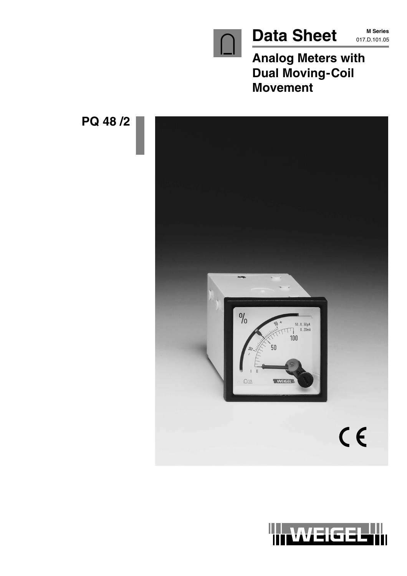

**M Series**

**Analog Meters with Dual Moving-Coil Movement**



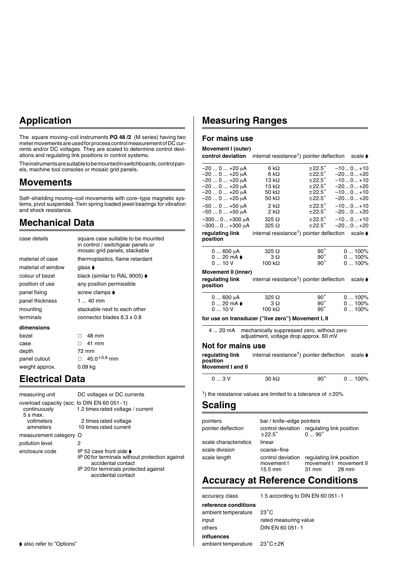# **Application**

The square moving–coil instruments **PQ 48 /2** (M series) having two meter movements are used for process control measurement of DC currents and/or DC voltages. They are scaled to determine control deviations and regulating link positions in control systems.

The instruments are suitable to be mounted in switchboards, control panels, machine tool consoles or mosaic grid panels.

### **Movements**

Self–shielding moving–coil movements with core–type magnetic systems, pivot suspended. Twin spring loaded jewel bearings for vibration and shock resistance.

# **Mechanical Data**

| case details       | square case suitable to be mounted<br>in control / switchgear panels or<br>mosaic grid panels, stackable |
|--------------------|----------------------------------------------------------------------------------------------------------|
| material of case   | thermoplastics, flame retardant                                                                          |
| material of window | glass <b>♦</b>                                                                                           |
| colour of bezel    | black (similar to RAL 9005) ♦                                                                            |
| position of use    | any position permissible                                                                                 |
| panel fixing       | screw clamps ♦                                                                                           |
| panel thickness    | 1  40 mm                                                                                                 |
| mounting           | stackable next to each other                                                                             |
| terminals          | connector blades 6.3 x 0.8                                                                               |
| dimensions         |                                                                                                          |
| bezel              | 48 mm<br>п                                                                                               |
| case               | 41 mm<br>п                                                                                               |
| depth              | 72 mm                                                                                                    |
| panel cutout       | $45.0^{+0.6}$ mm                                                                                         |
| weight approx.     | 0.09 ka                                                                                                  |

# **Electrical Data**

| measuring unit                                                              | DC voltages or DC currents                                                                                                                                                         |
|-----------------------------------------------------------------------------|------------------------------------------------------------------------------------------------------------------------------------------------------------------------------------|
| overload capacity (acc. to DIN EN 60 051 - 1)<br>continuously<br>$5 s$ max. | 1.2 times rated voltage / current                                                                                                                                                  |
| voltmeters                                                                  | 2 times rated voltage                                                                                                                                                              |
| ammeters                                                                    | 10 times rated current                                                                                                                                                             |
| measurement category O                                                      |                                                                                                                                                                                    |
| pollution level                                                             | 2                                                                                                                                                                                  |
| enclosure code                                                              | IP 52 case front side $\blacktriangleright$<br>IP 00 for terminals without protection against<br>accidental contact<br>IP 20 for terminals protected against<br>accidental contact |

# **Measuring Ranges**

### **For mains use**

#### **Movement I (outer)**

| Movement I (outer)                                                            |                                                                                      |                                      |                                  |
|-------------------------------------------------------------------------------|--------------------------------------------------------------------------------------|--------------------------------------|----------------------------------|
| control deviation                                                             | internal resistance <sup>1</sup> ) pointer deflection                                |                                      | scale $\blacktriangleright$      |
| –20  0  +20 μA                                                                | 6 k $\Omega$                                                                         | $\pm 22.5^\circ$                     | $-100+10$                        |
| $-200+20 \mu A$                                                               | 6 k $\Omega$                                                                         | $\pm 22.5^\circ$                     | $-200+20$                        |
| -20  0  +20 μA                                                                | 13 k $\Omega$                                                                        | $\pm 22.5\degree$                    | $-100+10$                        |
| -20  0  +20 μA                                                                | 13 k $\Omega$                                                                        | $±22.5^\circ$                        | $-200+20$                        |
| $-200+20 \mu A$                                                               | 50 k $\Omega$                                                                        | $±22.5^\circ$                        | $-100+10$                        |
| -20  0  +20 μA                                                                | 50 kΩ                                                                                | $±22.5^\circ$                        | -200+20                          |
| $-500+50 \mu A$<br>$-500+50 \mu A$                                            | $2 k\Omega$<br>2 k $\Omega$                                                          | $±22.5^\circ$<br>$\pm 22.5^\circ$    | $-100+10$<br>-200+20             |
| $-3000+300 \mu A$<br>-3000+300 μA                                             | $325 \Omega$<br>$325 \Omega$                                                         | $\pm 22.5^\circ$<br>$\pm 22.5^\circ$ | $-100+10$<br>$-200+20$           |
| regulating link<br>position                                                   | internal resistance <sup>1</sup> ) pointer deflection scale $\blacklozenge$          |                                      |                                  |
| $0600 \mu A$                                                                  | $325 \Omega$                                                                         | $90^{\circ}$                         | $0100\%$                         |
| $020$ mA $\bullet$                                                            | 3Ω                                                                                   | $90^{\circ}$                         | 0100%                            |
| 010V                                                                          | 100 k $\Omega$                                                                       | $90^{\circ}$                         | 0100%                            |
| Movement II (inner)<br>regulating link<br>position                            | internal resistance <sup>1</sup> ) pointer deflection                                |                                      | scale $\blacktriangleright$      |
| $0600 \mu A$                                                                  | $325 \Omega$                                                                         | $90^{\circ}$                         | 0100%                            |
| $020$ mA $\bullet$                                                            | 3Ω                                                                                   | $90^{\circ}$                         | $0100\%$                         |
| 010V                                                                          | 100 kΩ                                                                               | $90^{\circ}$                         | $0100\%$                         |
| for use on transducer ("live zero") Movement I, II                            |                                                                                      |                                      |                                  |
| 4  20 mA                                                                      | mechanically suppressed zero, without zero<br>adjustment, voltage drop approx. 60 mV |                                      |                                  |
| Not for mains use                                                             |                                                                                      |                                      |                                  |
| regulating link<br>position<br><b>Movement I and II</b>                       | internal resistance <sup>1</sup> ) pointer deflection                                |                                      | scale $\bullet$                  |
| 03V                                                                           | $30 k\Omega$                                                                         | $90^{\circ}$                         | 0100%                            |
| <sup>1</sup> ) the resistance values are limited to a tolerance of $\pm 20\%$ |                                                                                      |                                      |                                  |
| <b>Scaling</b>                                                                |                                                                                      |                                      |                                  |
|                                                                               |                                                                                      |                                      |                                  |
| pointers                                                                      | bar / knife-edge pointers                                                            |                                      |                                  |
| pointer deflection                                                            | control deviation regulating link position<br>$\pm 22.5^\circ$                       | $0 \ldots 90 \degree$                |                                  |
| scale characteristics                                                         | linear                                                                               |                                      |                                  |
| scale division                                                                | coarse-fine                                                                          |                                      |                                  |
|                                                                               |                                                                                      |                                      |                                  |
| scale length                                                                  | control deviation<br>movement I<br>15.5 mm                                           | regulating link position<br>31 mm    | movement   movement    <br>28 mm |

### **Accuracy at Reference Conditions**

accuracy class 1.5 according to DIN EN 60 051-1 **reference conditions** ambient temperature 23"C input rated measuring value others DIN EN 60 051-1 **influences** ambient temperature  $23^{\circ}$ C $\pm$ 2K

 $\blacklozenge$  also refer to "Options"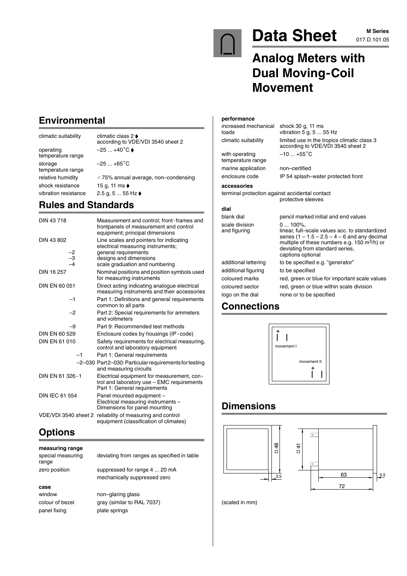

# Data Sheet M Series

**M Series**

# **Analog Meters with Dual Moving-Coil Movement**

# **Environmental**

climatic suitability climatic class  $2 \blacktriangleright$ operating  $-25...+40^{\circ}C$ temperature range storage  $-25...+65^{\circ}C$ temperature range shock resistance 15 g, 11 ms  $\bullet$ vibration resistance 2.5 g, 5 ... 55 Hz  $\blacklozenge$ 

according to VDE/VDI 3540 sheet 2 relative humidity  $\leq 75\%$  annual average, non–condensing

# **Rules and Standards**

| DIN 43718                           | Measurement and control; front-frames and<br>frontpanels of measurement and control<br>equipment; principal dimensions                                           |
|-------------------------------------|------------------------------------------------------------------------------------------------------------------------------------------------------------------|
| DIN 43 802<br>-2<br>$\frac{-3}{-4}$ | Line scales and pointers for indicating<br>electrical measuring instruments;<br>general requirements<br>designs and dimensions<br>scale graduation and numbering |
| DIN 16 257                          | Nominal positions and position symbols used<br>for measuring instruments                                                                                         |
| DIN EN 60 051                       | Direct acting indicating analogue electrical<br>measuring instruments and their accessories                                                                      |
| $-1$                                | Part 1: Definitions and general requirements<br>common to all parts                                                                                              |
| $-2$                                | Part 2: Special requirements for ammeters<br>and voltmeters                                                                                                      |
| -9                                  | Part 9: Recommended test methods                                                                                                                                 |
| DIN EN 60 529                       | Enclosure codes by housings (IP-code)                                                                                                                            |
| <b>DIN EN 61 010</b>                | Safety requirements for electrical measuring,<br>control and laboratory equipment                                                                                |
| $-1$                                | Part 1: General requirements                                                                                                                                     |
|                                     | -2-030 Part2-030: Particular requirements for testing<br>and measuring circuits                                                                                  |
| DIN EN 61 326-1                     | Electrical equipment for measurement, con-<br>trol and laboratory use - EMC requirements<br>Part 1: General requirements                                         |
| <b>DIN IEC 61 554</b>               | Panel mounted equipment -<br>Electrical measuring instruments -<br>Dimensions for panel mounting                                                                 |
| VDE/VDI 3540 sheet 2                | reliability of measuring and control<br>equipment (classification of climates)                                                                                   |

# **Options**

| measuring range            |                                             |
|----------------------------|---------------------------------------------|
| special measuring<br>range | deviating from ranges as specified in table |
| zero position              | suppressed for range 4  20 mA               |
|                            | mechanically suppressed zero                |
| case                       |                                             |
| window                     | non-glaring glass                           |
| colour of bezel            | gray (similar to RAL 7037)                  |
| panel fixing               | plate springs                               |

#### **performance**

increased mechanical shock 30 g, 11 ms<br>loads vibration 5 g, 5 ... 5

temperature range marine application non–certified

vibration  $5$  g, 5 ... 55 Hz climatic suitability limited use in the tropics climatic class 3 according to VDE/VDI 3540 sheet 2 with operating  $-10 ... +55^{\circ}C$ 

enclosure code IP 54 splash–water protected front

**accessories**

terminal protection against accidental contact protective sleeves

#### **dial**

blank dial pencil marked initial and end values scale division 0 ... 100%,<br>and figuring linear. fulllinear, full–scale values acc. to standardized series  $(1 - 1.5 - 2.5 - 4 - 6$  and any decimal multiple of these numbers e.g. 150 m3/h) or deviating from standard series, captions optional additional lettering to be specified e.g. "generator" additional figuring to be specified coloured marks red, green or blue for important scale values coloured sector red, green or blue within scale division logo on the dial none or to be specified

# **Connections**



# **Dimensions**





(scaled in mm)